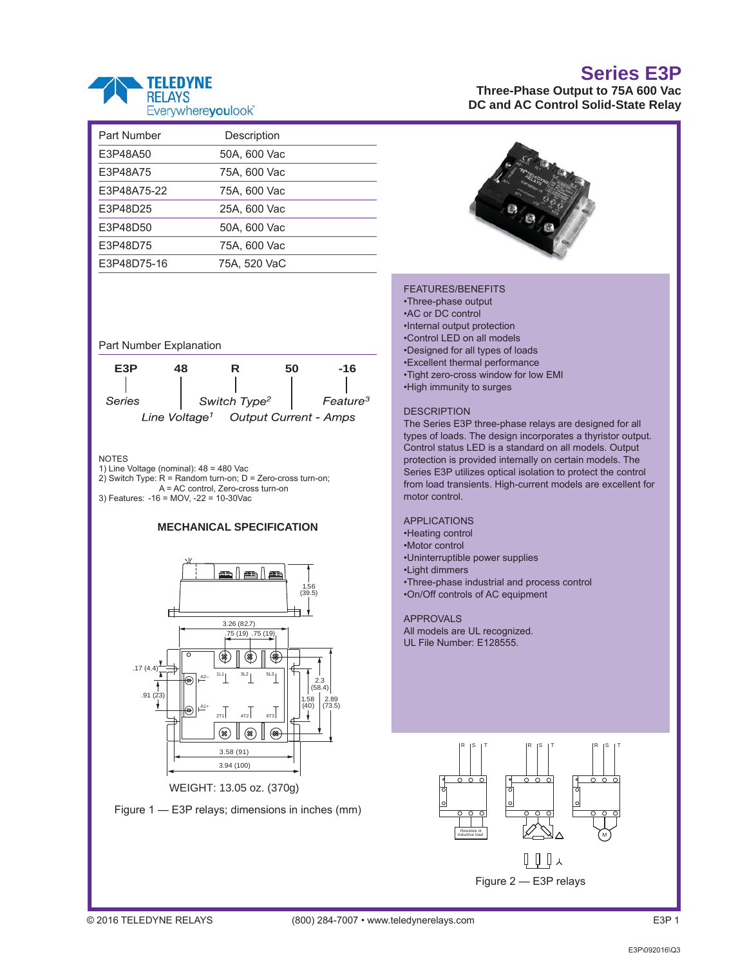

| Part Number | Description  |  |
|-------------|--------------|--|
| E3P48A50    | 50A, 600 Vac |  |
| E3P48A75    | 75A, 600 Vac |  |
| E3P48A75-22 | 75A. 600 Vac |  |
| E3P48D25    | 25A, 600 Vac |  |
| E3P48D50    | 50A, 600 Vac |  |
| E3P48D75    | 75A, 600 Vac |  |
| E3P48D75-16 | 75A. 520 VaC |  |
|             |              |  |

Part Number Explanation



**NOTES** 

- 1) Line Voltage (nominal): 48 = 480 Vac
- 2) Switch Type: R = Random turn-on; D = Zero-cross turn-on;
- A = AC control, Zero-cross turn-on

3) Features: -16 = MOV, -22 = 10-30Vac





WEIGHT: 13.05 oz. (370g)



## **Series E3P**

**Three-Phase Output to 75A 600 Vac DC and AC Control Solid-State Relay** 



#### FEATURES/BENEFITS

•Three-phase output •AC or DC control •Internal output protection •Control LED on all models •Designed for all types of loads •Excellent thermal performance •Tight zero-cross window for low EMI •High immunity to surges

**DESCRIPTION** 

The Series E3P three-phase relays are designed for all types of loads. The design incorporates a thyristor output. Control status LED is a standard on all models. Output protection is provided internally on certain models. The Series E3P utilizes optical isolation to protect the control from load transients. High-current models are excellent for motor control.

### APPLICATIONS

- •Heating control
- •Motor control
- •Uninterruptible power supplies
- •Light dimmers
- •Three-phase industrial and process control •On/Off controls of AC equipment

APPROVALS All models are UL recognized. UL File Number: E128555.

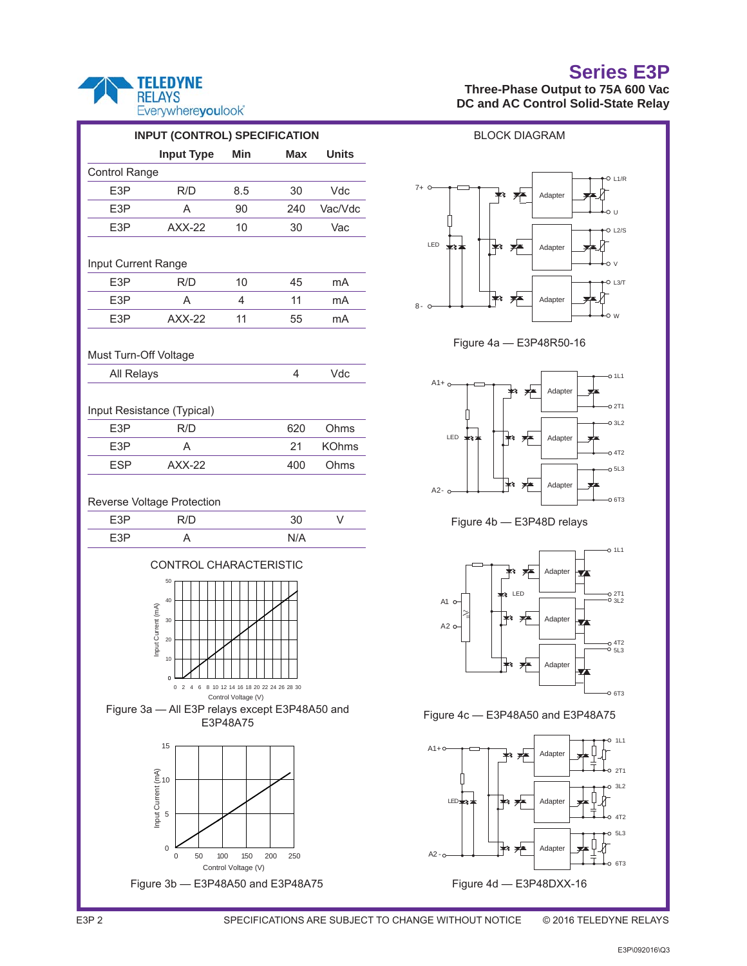### **TELEDYNE RELAYS** Everywhereyoulook"

| <b>Input Type</b><br>Min<br>Max<br>Control Range<br>E3P<br>R/D<br>8.5<br>30<br>E <sub>3</sub> P<br>A<br>90<br>240<br>E3P<br>$AXX-22$<br>10<br>30<br>Input Current Range<br>E <sub>3</sub> P<br>10<br>R/D<br>45<br>E3P<br>11<br>A<br>4                                                                                                                                                                                                                                       | <b>Units</b><br>Vdc<br>Vac/Vdc<br>Vac<br>mA<br>mA |  |  |  |  |  |  |  |  |
|-----------------------------------------------------------------------------------------------------------------------------------------------------------------------------------------------------------------------------------------------------------------------------------------------------------------------------------------------------------------------------------------------------------------------------------------------------------------------------|---------------------------------------------------|--|--|--|--|--|--|--|--|
|                                                                                                                                                                                                                                                                                                                                                                                                                                                                             |                                                   |  |  |  |  |  |  |  |  |
|                                                                                                                                                                                                                                                                                                                                                                                                                                                                             |                                                   |  |  |  |  |  |  |  |  |
|                                                                                                                                                                                                                                                                                                                                                                                                                                                                             |                                                   |  |  |  |  |  |  |  |  |
|                                                                                                                                                                                                                                                                                                                                                                                                                                                                             |                                                   |  |  |  |  |  |  |  |  |
|                                                                                                                                                                                                                                                                                                                                                                                                                                                                             |                                                   |  |  |  |  |  |  |  |  |
|                                                                                                                                                                                                                                                                                                                                                                                                                                                                             |                                                   |  |  |  |  |  |  |  |  |
|                                                                                                                                                                                                                                                                                                                                                                                                                                                                             |                                                   |  |  |  |  |  |  |  |  |
|                                                                                                                                                                                                                                                                                                                                                                                                                                                                             |                                                   |  |  |  |  |  |  |  |  |
| E3P<br>$AXX-22$<br>11<br>55                                                                                                                                                                                                                                                                                                                                                                                                                                                 | mA                                                |  |  |  |  |  |  |  |  |
| Must Turn-Off Voltage                                                                                                                                                                                                                                                                                                                                                                                                                                                       |                                                   |  |  |  |  |  |  |  |  |
| 4<br>All Relays                                                                                                                                                                                                                                                                                                                                                                                                                                                             | Vdc                                               |  |  |  |  |  |  |  |  |
| Input Resistance (Typical)                                                                                                                                                                                                                                                                                                                                                                                                                                                  |                                                   |  |  |  |  |  |  |  |  |
| E3P<br>R/D<br>620                                                                                                                                                                                                                                                                                                                                                                                                                                                           | Ohms                                              |  |  |  |  |  |  |  |  |
| E3P<br>21<br>A                                                                                                                                                                                                                                                                                                                                                                                                                                                              | <b>KOhms</b>                                      |  |  |  |  |  |  |  |  |
| <b>ESP</b><br>$AXX-22$<br>400                                                                                                                                                                                                                                                                                                                                                                                                                                               | Ohms                                              |  |  |  |  |  |  |  |  |
| Reverse Voltage Protection                                                                                                                                                                                                                                                                                                                                                                                                                                                  |                                                   |  |  |  |  |  |  |  |  |
| E3P<br>R/D<br>30                                                                                                                                                                                                                                                                                                                                                                                                                                                            | V                                                 |  |  |  |  |  |  |  |  |
| E3P<br>A                                                                                                                                                                                                                                                                                                                                                                                                                                                                    |                                                   |  |  |  |  |  |  |  |  |
| N/A<br>CONTROL CHARACTERISTIC<br>50<br>40<br>Input Current (mA)<br>30<br>20<br>10<br>Ó<br>8 10 12 14 16 18 20 22 24 26 28 30<br>0<br>6<br>Control Voltage (V)<br>Figure 3a - All E3P relays except E3P48A50 and<br>E3P48A75<br>15<br>Input Current (mA)<br>sp sp contributed in the control of the control of the control of the control of the control of the control of the control of the control of the control of the control of the control of the control of th<br>0 |                                                   |  |  |  |  |  |  |  |  |
| 50<br>100<br>150<br>200<br>250<br>0<br>Control Voltage (V)<br>Figure 3b - E3P48A50 and E3P48A75                                                                                                                                                                                                                                                                                                                                                                             |                                                   |  |  |  |  |  |  |  |  |

# **Series E3P**

## **Three-Phase Output to 75A 600 Vac DC and AC Control Solid-State Relay**











### Figure 4c — E3P48A50 and E3P48A75

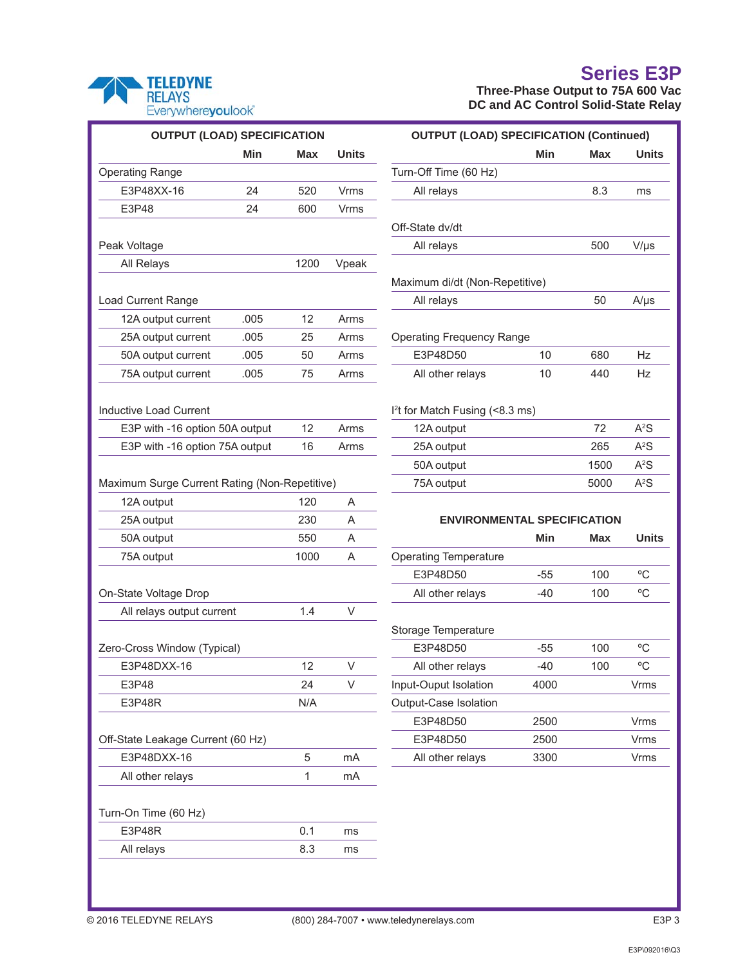

## **Series E3P**

**Three-Phase Output to 75A 600 Vac DC and AC Control Solid-State Relay** 

| <b>OUTPUT (LOAD) SPECIFICATION</b>            |            |            |                           | <b>OUTPUT (LOAD) SPECIFICATION (Continued)</b> |            |            |                  |  |
|-----------------------------------------------|------------|------------|---------------------------|------------------------------------------------|------------|------------|------------------|--|
|                                               | <b>Min</b> | <b>Max</b> | <b>Units</b>              |                                                | <b>Min</b> | Max        | <b>Units</b>     |  |
| <b>Operating Range</b>                        |            |            |                           | Turn-Off Time (60 Hz)                          |            |            |                  |  |
| E3P48XX-16                                    | 24         | 520        | <b>Vrms</b>               | All relays                                     |            | 8.3        | ms               |  |
| E3P48                                         | 24         | 600        | <b>Vrms</b>               |                                                |            |            |                  |  |
|                                               |            |            |                           | Off-State dv/dt                                |            |            |                  |  |
| Peak Voltage                                  |            |            |                           | All relays                                     |            | 500        | $V/\mu s$        |  |
| All Relays                                    |            | 1200       | Vpeak                     |                                                |            |            |                  |  |
|                                               |            |            |                           | Maximum di/dt (Non-Repetitive)                 |            |            |                  |  |
| Load Current Range                            |            |            |                           | All relays                                     |            | 50         | $A/\mu s$        |  |
| 12A output current                            | .005       | 12         | Arms                      |                                                |            |            |                  |  |
| 25A output current                            | .005       | 25         | Arms                      | <b>Operating Frequency Range</b>               |            |            |                  |  |
| 50A output current                            | .005       | 50         | Arms                      | E3P48D50                                       | 10         | 680        | Hz               |  |
| 75A output current                            | .005       | 75         | Arms                      | All other relays                               | 10         | 440        | Hz               |  |
|                                               |            |            |                           |                                                |            |            |                  |  |
| <b>Inductive Load Current</b>                 |            |            |                           | I <sup>2</sup> t for Match Fusing (<8.3 ms)    |            |            |                  |  |
| E3P with -16 option 50A output                |            | 12         | Arms                      | 12A output                                     |            | 72         | A <sup>2</sup> S |  |
| E3P with -16 option 75A output                |            | 16         | Arms                      | 25A output                                     |            | 265        | A <sup>2</sup> S |  |
|                                               |            |            |                           | 50A output                                     |            | 1500       | A <sup>2</sup> S |  |
| Maximum Surge Current Rating (Non-Repetitive) |            |            |                           | 75A output                                     |            | 5000       | A <sup>2</sup> S |  |
| 12A output                                    |            | 120        | A                         |                                                |            |            |                  |  |
| 25A output                                    |            | 230        | $\boldsymbol{\mathsf{A}}$ | <b>ENVIRONMENTAL SPECIFICATION</b>             |            |            |                  |  |
| 50A output                                    |            | 550        | Α                         |                                                | <b>Min</b> | <b>Max</b> | <b>Units</b>     |  |
| 75A output                                    |            | 1000       | A                         | <b>Operating Temperature</b>                   |            |            |                  |  |
|                                               |            |            |                           | E3P48D50                                       | $-55$      | 100        | $\rm ^{o}C$      |  |
|                                               |            |            |                           | All other relays                               | $-40$      | 100        | $^{\circ}$ C     |  |
| On-State Voltage Drop                         |            |            |                           |                                                |            |            |                  |  |
| All relays output current                     |            | 1.4        | $\vee$                    |                                                |            |            |                  |  |
|                                               |            |            |                           | Storage Temperature                            |            |            |                  |  |
| Zero-Cross Window (Typical)                   |            |            |                           | E3P48D50                                       | $-55$      | 100        | °C               |  |
| E3P48DXX-16                                   |            | 12         | $\vee$                    | All other relays                               | $-40$      | 100        | $\rm ^{o}C$      |  |
| E3P48                                         |            | 24         | V                         | Input-Ouput Isolation                          | 4000       |            | Vrms             |  |
| E3P48R                                        |            | N/A        |                           | Output-Case Isolation                          |            |            |                  |  |
|                                               |            |            |                           | E3P48D50                                       | 2500       |            | Vrms             |  |
| Off-State Leakage Current (60 Hz)             |            |            |                           | E3P48D50                                       | 2500       |            | Vrms             |  |
| E3P48DXX-16                                   |            | 5          | mA                        | All other relays                               | 3300       |            | Vrms             |  |
| All other relays                              |            | 1          | mA                        |                                                |            |            |                  |  |
|                                               |            |            |                           |                                                |            |            |                  |  |
| Turn-On Time (60 Hz)                          |            |            |                           |                                                |            |            |                  |  |
| E3P48R                                        |            | 0.1        | ms                        |                                                |            |            |                  |  |
| All relays                                    |            | 8.3        | ms                        |                                                |            |            |                  |  |